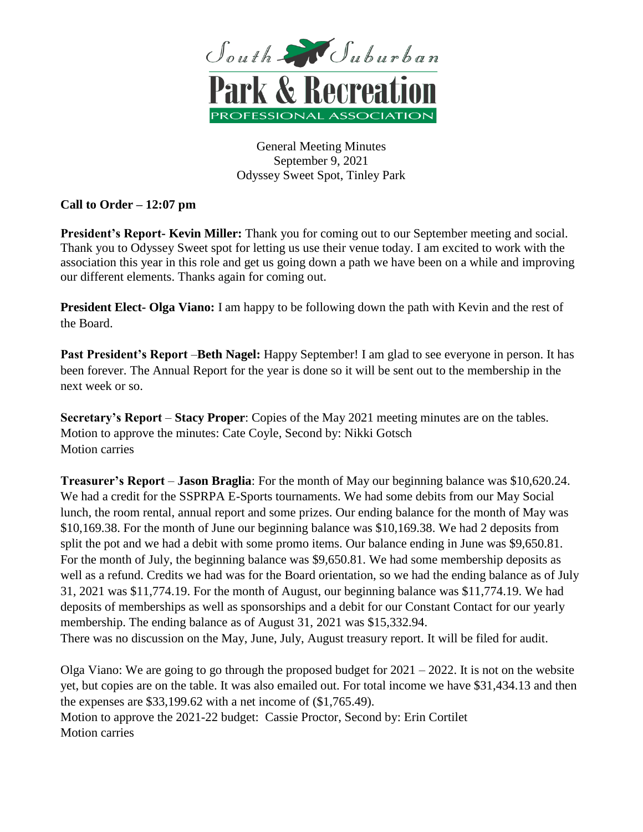

General Meeting Minutes September 9, 2021 Odyssey Sweet Spot, Tinley Park

**Call to Order – 12:07 pm**

**President's Report- Kevin Miller:** Thank you for coming out to our September meeting and social. Thank you to Odyssey Sweet spot for letting us use their venue today. I am excited to work with the association this year in this role and get us going down a path we have been on a while and improving our different elements. Thanks again for coming out.

**President Elect- Olga Viano:** I am happy to be following down the path with Kevin and the rest of the Board.

**Past President's Report** –**Beth Nagel:** Happy September! I am glad to see everyone in person. It has been forever. The Annual Report for the year is done so it will be sent out to the membership in the next week or so.

**Secretary's Report** – **Stacy Proper**: Copies of the May 2021 meeting minutes are on the tables. Motion to approve the minutes: Cate Coyle, Second by: Nikki Gotsch Motion carries

**Treasurer's Report** – **Jason Braglia**: For the month of May our beginning balance was \$10,620.24. We had a credit for the SSPRPA E-Sports tournaments. We had some debits from our May Social lunch, the room rental, annual report and some prizes. Our ending balance for the month of May was \$10,169.38. For the month of June our beginning balance was \$10,169.38. We had 2 deposits from split the pot and we had a debit with some promo items. Our balance ending in June was \$9,650.81. For the month of July, the beginning balance was \$9,650.81. We had some membership deposits as well as a refund. Credits we had was for the Board orientation, so we had the ending balance as of July 31, 2021 was \$11,774.19. For the month of August, our beginning balance was \$11,774.19. We had deposits of memberships as well as sponsorships and a debit for our Constant Contact for our yearly membership. The ending balance as of August 31, 2021 was \$15,332.94. There was no discussion on the May, June, July, August treasury report. It will be filed for audit.

Olga Viano: We are going to go through the proposed budget for  $2021 - 2022$ . It is not on the website yet, but copies are on the table. It was also emailed out. For total income we have \$31,434.13 and then the expenses are \$33,199.62 with a net income of (\$1,765.49). Motion to approve the 2021-22 budget: Cassie Proctor, Second by: Erin Cortilet Motion carries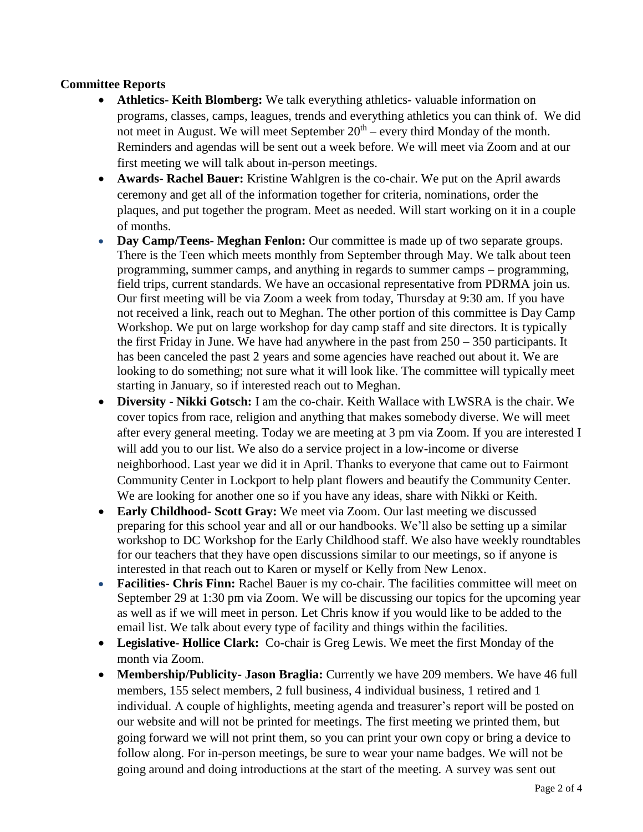## **Committee Reports**

- **Athletics- Keith Blomberg:** We talk everything athletics- valuable information on programs, classes, camps, leagues, trends and everything athletics you can think of. We did not meet in August. We will meet September  $20<sup>th</sup>$  – every third Monday of the month. Reminders and agendas will be sent out a week before. We will meet via Zoom and at our first meeting we will talk about in-person meetings.
- **Awards- Rachel Bauer:** Kristine Wahlgren is the co-chair. We put on the April awards ceremony and get all of the information together for criteria, nominations, order the plaques, and put together the program. Meet as needed. Will start working on it in a couple of months.
- **Day Camp/Teens- Meghan Fenlon:** Our committee is made up of two separate groups. There is the Teen which meets monthly from September through May. We talk about teen programming, summer camps, and anything in regards to summer camps – programming, field trips, current standards. We have an occasional representative from PDRMA join us. Our first meeting will be via Zoom a week from today, Thursday at 9:30 am. If you have not received a link, reach out to Meghan. The other portion of this committee is Day Camp Workshop. We put on large workshop for day camp staff and site directors. It is typically the first Friday in June. We have had anywhere in the past from  $250 - 350$  participants. It has been canceled the past 2 years and some agencies have reached out about it. We are looking to do something; not sure what it will look like. The committee will typically meet starting in January, so if interested reach out to Meghan.
- **Diversity - Nikki Gotsch:** I am the co-chair. Keith Wallace with LWSRA is the chair. We cover topics from race, religion and anything that makes somebody diverse. We will meet after every general meeting. Today we are meeting at 3 pm via Zoom. If you are interested I will add you to our list. We also do a service project in a low-income or diverse neighborhood. Last year we did it in April. Thanks to everyone that came out to Fairmont Community Center in Lockport to help plant flowers and beautify the Community Center. We are looking for another one so if you have any ideas, share with Nikki or Keith.
- **Early Childhood- Scott Gray:** We meet via Zoom. Our last meeting we discussed preparing for this school year and all or our handbooks. We'll also be setting up a similar workshop to DC Workshop for the Early Childhood staff. We also have weekly roundtables for our teachers that they have open discussions similar to our meetings, so if anyone is interested in that reach out to Karen or myself or Kelly from New Lenox.
- **Facilities- Chris Finn:** Rachel Bauer is my co-chair. The facilities committee will meet on September 29 at 1:30 pm via Zoom. We will be discussing our topics for the upcoming year as well as if we will meet in person. Let Chris know if you would like to be added to the email list. We talk about every type of facility and things within the facilities.
- **Legislative- Hollice Clark:** Co-chair is Greg Lewis. We meet the first Monday of the month via Zoom.
- **Membership/Publicity- Jason Braglia:** Currently we have 209 members. We have 46 full members, 155 select members, 2 full business, 4 individual business, 1 retired and 1 individual. A couple of highlights, meeting agenda and treasurer's report will be posted on our website and will not be printed for meetings. The first meeting we printed them, but going forward we will not print them, so you can print your own copy or bring a device to follow along. For in-person meetings, be sure to wear your name badges. We will not be going around and doing introductions at the start of the meeting. A survey was sent out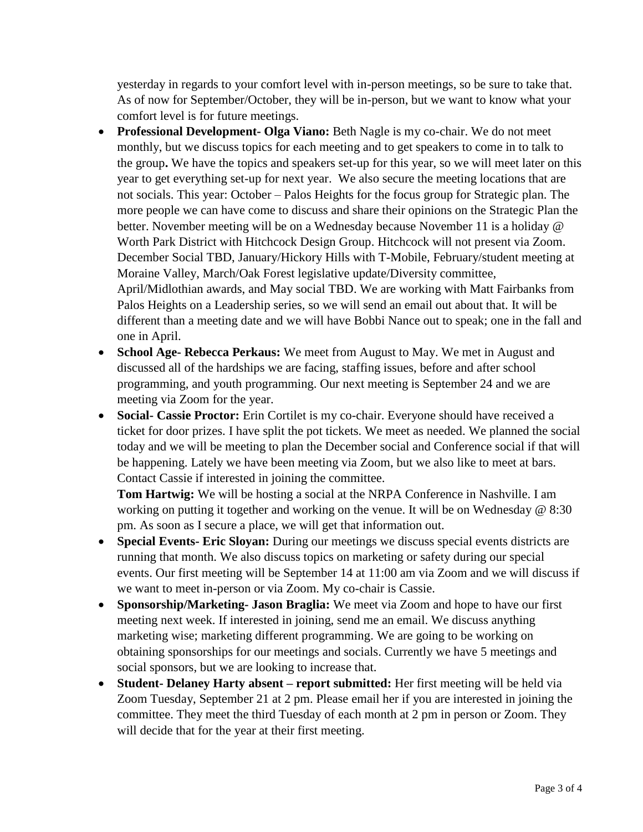yesterday in regards to your comfort level with in-person meetings, so be sure to take that. As of now for September/October, they will be in-person, but we want to know what your comfort level is for future meetings.

- **Professional Development- Olga Viano:** Beth Nagle is my co-chair. We do not meet monthly, but we discuss topics for each meeting and to get speakers to come in to talk to the group**.** We have the topics and speakers set-up for this year, so we will meet later on this year to get everything set-up for next year. We also secure the meeting locations that are not socials. This year: October – Palos Heights for the focus group for Strategic plan. The more people we can have come to discuss and share their opinions on the Strategic Plan the better. November meeting will be on a Wednesday because November 11 is a holiday @ Worth Park District with Hitchcock Design Group. Hitchcock will not present via Zoom. December Social TBD, January/Hickory Hills with T-Mobile, February/student meeting at Moraine Valley, March/Oak Forest legislative update/Diversity committee, April/Midlothian awards, and May social TBD. We are working with Matt Fairbanks from Palos Heights on a Leadership series, so we will send an email out about that. It will be different than a meeting date and we will have Bobbi Nance out to speak; one in the fall and one in April.
- **School Age- Rebecca Perkaus:** We meet from August to May. We met in August and discussed all of the hardships we are facing, staffing issues, before and after school programming, and youth programming. Our next meeting is September 24 and we are meeting via Zoom for the year.
- **Social- Cassie Proctor:** Erin Cortilet is my co-chair. Everyone should have received a ticket for door prizes. I have split the pot tickets. We meet as needed. We planned the social today and we will be meeting to plan the December social and Conference social if that will be happening. Lately we have been meeting via Zoom, but we also like to meet at bars. Contact Cassie if interested in joining the committee.

**Tom Hartwig:** We will be hosting a social at the NRPA Conference in Nashville. I am working on putting it together and working on the venue. It will be on Wednesday @ 8:30 pm. As soon as I secure a place, we will get that information out.

- **Special Events- Eric Sloyan:** During our meetings we discuss special events districts are running that month. We also discuss topics on marketing or safety during our special events. Our first meeting will be September 14 at 11:00 am via Zoom and we will discuss if we want to meet in-person or via Zoom. My co-chair is Cassie.
- **Sponsorship/Marketing- Jason Braglia:** We meet via Zoom and hope to have our first meeting next week. If interested in joining, send me an email. We discuss anything marketing wise; marketing different programming. We are going to be working on obtaining sponsorships for our meetings and socials. Currently we have 5 meetings and social sponsors, but we are looking to increase that.
- **Student- Delaney Harty absent – report submitted:** Her first meeting will be held via Zoom Tuesday, September 21 at 2 pm. Please email her if you are interested in joining the committee. They meet the third Tuesday of each month at 2 pm in person or Zoom. They will decide that for the year at their first meeting.